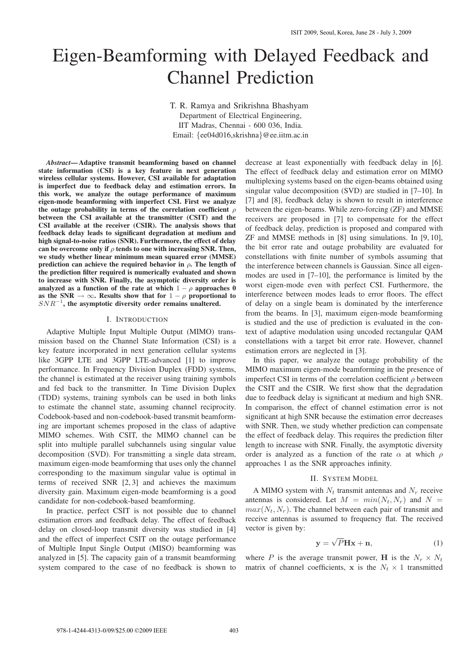# Eigen-Beamforming with Delayed Feedback and Channel Prediction

T. R. Ramya and Srikrishna Bhashyam

Department of Electrical Engineering, IIT Madras, Chennai - 600 036, India. Email: {ee04d016,skrishna}@ee.iitm.ac.in

*Abstract***— Adaptive transmit beamforming based on channel state information (CSI) is a key feature in next generation wireless cellular systems. However, CSI available for adaptation is imperfect due to feedback delay and estimation errors. In this work, we analyze the outage performance of maximum eigen-mode beamforming with imperfect CSI. First we analyze the outage probability in terms of the correlation coefficient** ρ **between the CSI available at the transmitter (CSIT) and the CSI available at the receiver (CSIR). The analysis shows that feedback delay leads to significant degradation at medium and high signal-to-noise ratios (SNR). Furthermore, the effect of delay can be overcome only if** ρ **tends to one with increasing SNR. Then, we study whether linear minimum mean squared error (MMSE) prediction can achieve the required behavior in**  $\rho$ . The length of **the prediction filter required is numerically evaluated and shown to increase with SNR. Finally, the asymptotic diversity order is analyzed as a function of the rate at which**  $1 - \rho$  **approaches** 0 as the SNR  $\rightarrow \infty$ . Results show that for  $1 - \rho$  proportional to SNR<sup>−</sup><sup>1</sup> **, the asymptotic diversity order remains unaltered.**

#### I. INTRODUCTION

Adaptive Multiple Input Multiple Output (MIMO) transmission based on the Channel State Information (CSI) is a key feature incorporated in next generation cellular systems like 3GPP LTE and 3GPP LTE-advanced [1] to improve performance. In Frequency Division Duplex (FDD) systems, the channel is estimated at the receiver using training symbols and fed back to the transmitter. In Time Division Duplex (TDD) systems, training symbols can be used in both links to estimate the channel state, assuming channel reciprocity. Codebook-based and non-codebook-based transmit beamforming are important schemes proposed in the class of adaptive MIMO schemes. With CSIT, the MIMO channel can be split into multiple parallel subchannels using singular value decomposition (SVD). For transmitting a single data stream, maximum eigen-mode beamforming that uses only the channel corresponding to the maximum singular value is optimal in terms of received SNR [2, 3] and achieves the maximum diversity gain. Maximum eigen-mode beamforming is a good candidate for non-codebook-based beamforming.

In practice, perfect CSIT is not possible due to channel estimation errors and feedback delay. The effect of feedback delay on closed-loop transmit diversity was studied in [4] and the effect of imperfect CSIT on the outage performance of Multiple Input Single Output (MISO) beamforming was analyzed in [5]. The capacity gain of a transmit beamforming system compared to the case of no feedback is shown to decrease at least exponentially with feedback delay in [6]. The effect of feedback delay and estimation error on MIMO multiplexing systems based on the eigen-beams obtained using singular value decomposition (SVD) are studied in [7–10]. In [7] and [8], feedback delay is shown to result in interference between the eigen-beams. While zero-forcing (ZF) and MMSE receivers are proposed in [7] to compensate for the effect of feedback delay, prediction is proposed and compared with ZF and MMSE methods in [8] using simulations. In [9, 10], the bit error rate and outage probability are evaluated for constellations with finite number of symbols assuming that the interference between channels is Gaussian. Since all eigenmodes are used in [7–10], the performance is limited by the worst eigen-mode even with perfect CSI. Furthermore, the interference between modes leads to error floors. The effect of delay on a single beam is dominated by the interference from the beams. In [3], maximum eigen-mode beamforming is studied and the use of prediction is evaluated in the context of adaptive modulation using uncoded rectangular QAM constellations with a target bit error rate. However, channel estimation errors are neglected in [3].

In this paper, we analyze the outage probability of the MIMO maximum eigen-mode beamforming in the presence of imperfect CSI in terms of the correlation coefficient  $\rho$  between the CSIT and the CSIR. We first show that the degradation due to feedback delay is significant at medium and high SNR. In comparison, the effect of channel estimation error is not significant at high SNR because the estimation error decreases with SNR. Then, we study whether prediction can compensate the effect of feedback delay. This requires the prediction filter length to increase with SNR. Finally, the asymptotic diversity order is analyzed as a function of the rate  $\alpha$  at which  $\rho$ approaches 1 as the SNR approaches infinity.

## II. SYSTEM MODEL

A MIMO system with  $N_t$  transmit antennas and  $N_r$  receive antennas is considered. Let  $M = min(N_t, N_r)$  and  $N =$  $max(N_t, N_r)$ . The channel between each pair of transmit and receive antennas is assumed to frequency flat. The received vector is given by:

$$
y = \sqrt{P}Hx + n,\tag{1}
$$

where P is the average transmit power, H is the  $N_r \times N_t$ matrix of channel coefficients, x is the  $N_t \times 1$  transmitted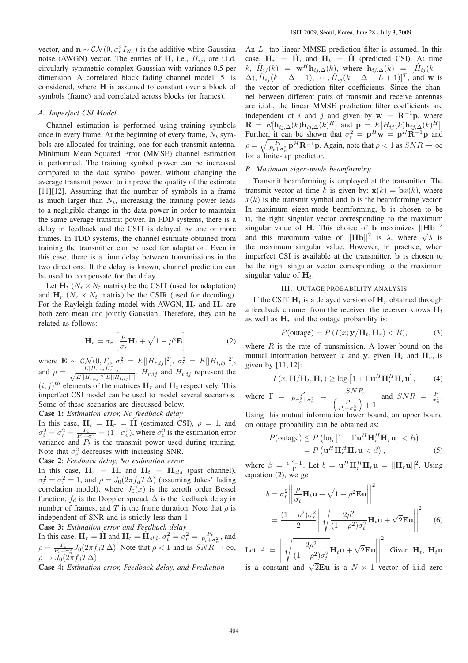vector, and  $\mathbf{n} \sim \mathcal{CN}(0, \sigma_n^2 I_{N_r})$  is the additive white Gaussian noise (AWGN) vector. The entries of H, i.e.,  $H_{ij}$ , are i.i.d. circularly symmetric complex Gaussian with variance 0.5 per dimension. A correlated block fading channel model [5] is considered, where H is assumed to constant over a block of symbols (frame) and correlated across blocks (or frames).

## *A. Imperfect CSI Model*

Channel estimation is performed using training symbols once in every frame. At the beginning of every frame,  $N_t$  symbols are allocated for training, one for each transmit antenna. Minimum Mean Squared Error (MMSE) channel estimation is performed. The training symbol power can be increased compared to the data symbol power, without changing the average transmit power, to improve the quality of the estimate [11][12]. Assuming that the number of symbols in a frame is much larger than  $N_t$ , increasing the training power leads to a negligible change in the data power in order to maintain the same average transmit power. In FDD systems, there is a delay in feedback and the CSIT is delayed by one or more frames. In TDD systems, the channel estimate obtained from training the transmitter can be used for adaptation. Even in this case, there is a time delay between transmissions in the two directions. If the delay is known, channel prediction can be used to compensate for the delay.

Let  $H_t$  ( $N_r \times N_t$  matrix) be the CSIT (used for adaptation) and  $H_r$  ( $N_r \times N_t$  matrix) be the CSIR (used for decoding). For the Rayleigh fading model with AWGN,  $H_t$  and  $H_r$  are both zero mean and jointly Gaussian. Therefore, they can be related as follows:

$$
\mathbf{H}_r = \sigma_r \left[ \frac{\rho}{\sigma_t} \mathbf{H}_t + \sqrt{1 - \rho^2} \mathbf{E} \right],\tag{2}
$$

where  $\mathbf{E} \sim \mathcal{CN}(0, I)$ ,  $\sigma_r^2 = E[|H_{r,ij}|^2]$ ,  $\sigma_t^2 = E[|H_{t,ij}|^2]$ , and  $\rho = \frac{E[\hat{H}_{r,ij}\hat{H}_{t,ij}^*]}{\sqrt{E[[H_{r,ij}]^2]E[[H_{t,ij}]^2]}}$ .  $H_{r,ij}$  and  $H_{t,ij}$  represent the  $(i, j)^{th}$  elements of the matrices  $H_r$  and  $H_t$  respectively. This imperfect CSI model can be used to model several scenarios. Some of these scenarios are discussed below.

**Case 1:** *Estimation error, No feedback delay*

In this case,  $H_t = H_r = \hat{H}$  (estimated CSI),  $\rho = 1$ , and  $\sigma_t^2 = \sigma_r^2 = \frac{P_t}{P_t + \sigma_n^2} = (1 - \sigma_e^2)$ , where  $\sigma_e^2$  is the estimation error variance and  $P_t$  is the transmit power used during training. Note that  $\sigma_e^2$  decreases with increasing SNR.

**Case 2**: *Feedback delay, No estimation error*

In this case,  $H_r = H$ , and  $H_t = H_{old}$  (past channel),  $\sigma_t^2 = \sigma_r^2 = 1$ , and  $\rho = J_0(2\pi f_d T \Delta)$  (assuming Jakes' fading correlation model), where  $J_0(x)$  is the zeroth order Bessel function,  $f_d$  is the Doppler spread,  $\Delta$  is the feedback delay in number of frames, and T is the frame duration. Note that  $\rho$  is independent of SNR and is strictly less than 1.

**Case 3:** *Estimation error and Feedback delay*

In this case,  $H_r = \hat{H}$  and  $H_t = \hat{H}_{old}$ ,  $\sigma_t^2 = \sigma_r^2 = \frac{P_t}{P_t + \sigma_n^2}$ , and  $\rho = \frac{P_t}{P_t + \sigma_n^2} J_0(2\pi f_d T \Delta)$ . Note that  $\rho < 1$  and as  $SNR \to \infty$ ,  $\rho \to J_0(2\pi f_d T \Delta).$ 

**Case 4:** *Estimation error, Feedback delay, and Prediction*

An L−tap linear MMSE prediction filter is assumed. In this case,  $H_r = \hat{H}$ , and  $H_t = \hat{H}$  (predicted CSI). At time k,  $\tilde{H}_{ij}(k) = \mathbf{w}^H \mathbf{h}_{ij,\Delta}(k)$ , where  $\mathbf{h}_{ij,\Delta}(k) = [\hat{H}_{ij}(k (\Delta)$ ,  $\hat{H}_{ij}(k - \Delta - 1)$ ,  $\cdots$ ,  $\hat{H}_{ij}(k - \Delta - L + 1)]^T$ , and w is the vector of prediction filter coefficients. Since the channel between different pairs of transmit and receive antennas are i.i.d., the linear MMSE prediction filter coefficients are independent of i and j and given by  $w = \mathbf{R}^{-1}\mathbf{p}$ , where  $\mathbf{R} = E[\mathbf{h}_{ij,\Delta}(k)\mathbf{h}_{ij,\Delta}(k)^{H}]$  and  $\mathbf{p} = E[H_{ij}(k)\mathbf{h}_{ij,\Delta}(k)^{H}]$ . Further, it can be shown that  $\sigma_t^2 = \mathbf{p}^H \mathbf{w} = \mathbf{p}^H \mathbf{R}^{-1} \mathbf{p}$  and  $\rho = \sqrt{\frac{P_t}{P_t + \sigma_n^2}} \mathbf{p}^H \mathbf{R}^{-1} \mathbf{p}$ . Again, note that  $\rho < 1$  as  $SNR \to \infty$ for a finite-tap predictor.

#### *B. Maximum eigen-mode beamforming*

Transmit beamforming is employed at the transmitter. The transmit vector at time k is given by:  $\mathbf{x}(k) = \mathbf{b}x(k)$ , where  $x(k)$  is the transmit symbol and b is the beamforming vector. In maximum eigen-mode beamforming, b is chosen to be u, the right singular vector corresponding to the maximum singular value of H. This choice of b maximizes  $||Hb||^2$ and this maximum value of  $||\textbf{Hb}||^2$  is  $\lambda$ , where  $\sqrt{\lambda}$  is the maximum singular value. However, in practice, when imperfect CSI is available at the transmitter, b is chosen to be the right singular vector corresponding to the maximum singular value of  $H_t$ .

### III. OUTAGE PROBABILITY ANALYSIS

If the CSIT  $H_t$  is a delayed version of  $H_r$  obtained through a feedback channel from the receiver, the receiver knows  $H_t$ as well as  $H_r$  and the outage probability is:

$$
P(\text{outage}) = P\left(I(x; \mathbf{y}/\mathbf{H}_t, \mathbf{H}_r) < R\right),\tag{3}
$$

where  $R$  is the rate of transmission. A lower bound on the mutual information between x and y, given  $H_t$  and  $H_r$ , is given by [11, 12]:

$$
I(x; \mathbf{H}/\mathbf{H}_t, \mathbf{H}_r) \ge \log\left[1 + \Gamma \mathbf{u}^H \mathbf{H}_r^H \mathbf{H}_r \mathbf{u}\right],\qquad(4)
$$

where  $\Gamma = \frac{P}{P\sigma_e^2 + \sigma_n^2} = \frac{SNR}{\left(\frac{P}{P}\right)^2}$  $\left(\frac{P}{P_t+\sigma_n^2}\right)+1$ and  $SNR = \frac{P}{\sigma_n^2}$ .

Using this mutual information lower bound, an upper bound on outage probability can be obtained as:

$$
P(\text{outage}) \le P \left( \log \left[ 1 + \Gamma \mathbf{u}^H \mathbf{H}_r^H \mathbf{H}_r \mathbf{u} \right] < R \right) \\ = P \left( \mathbf{u}^H \mathbf{H}_r^H \mathbf{H}_r \mathbf{u} < \beta \right), \tag{5}
$$

where  $\beta = \frac{e^{R}-1}{\Gamma}$ . Let  $b = \mathbf{u}^{H} \mathbf{H}_{r}^{H} \mathbf{H}_{r} \mathbf{u} = ||\mathbf{H}_{r} \mathbf{u}||^{2}$ . Using equation (2), we get

$$
b = \sigma_r^2 \left\| \frac{\rho}{\sigma_t} \mathbf{H}_t \mathbf{u} + \sqrt{1 - \rho^2} \mathbf{E} \mathbf{u} \right\|^2
$$
  
= 
$$
\frac{(1 - \rho^2)\sigma_r^2}{2} \left\| \sqrt{\frac{2\rho^2}{(1 - \rho^2)\sigma_t^2}} \mathbf{H}_t \mathbf{u} + \sqrt{2} \mathbf{E} \mathbf{u} \right\|^2
$$
(6)

Let  $A =$   $\sqrt{2\rho^2}$  $\frac{2\rho^2}{(1-\rho^2)\sigma_t^2}\mathbf{H}_t\mathbf{u} + \sqrt{2}\mathbf{E}\mathbf{u}$  2 . Given  $H_t$ ,  $H_t$ u is a constant and  $\sqrt{2}$ **Eu** is a  $N \times 1$  vector of i.i.d zero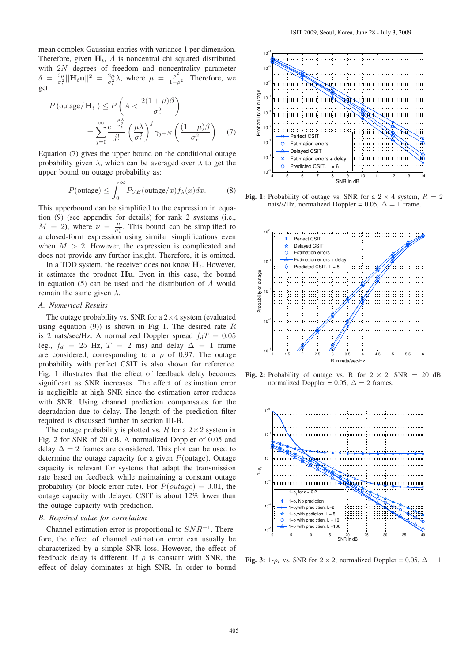mean complex Gaussian entries with variance 1 per dimension. Therefore, given  $H_t$ , A is noncentral chi squared distributed with 2N degrees of freedom and noncentrality parameter  $\delta$  $2\mu$  $\frac{2\mu}{\sigma_t^2} ||\mathbf H_t \mathbf u||^2 \; = \; \frac{2\mu}{\sigma_t^2}$  $rac{2\mu}{\sigma_t^2} \lambda$ , where  $\mu = \frac{\rho^2}{1-\rho^2}$ . Therefore, we get

$$
P\left(\text{outage}/\mathbf{H}_t\right) \le P\left(A < \frac{2(1+\mu)\beta}{\sigma_r^2}\right)
$$
\n
$$
= \sum_{j=0}^{\infty} \frac{e^{-\frac{\mu\lambda}{\sigma_t^2}}}{j!} \left(\frac{\mu\lambda}{\sigma_t^2}\right)^j \gamma_{j+N}\left(\frac{(1+\mu)\beta}{\sigma_r^2}\right) \tag{7}
$$

Equation (7) gives the upper bound on the conditional outage probability given  $\lambda$ , which can be averaged over  $\lambda$  to get the upper bound on outage probability as:

$$
P(\text{outage}) \le \int_0^\infty P_{UB}(\text{outage}/x) f_\lambda(x) dx. \tag{8}
$$

This upperbound can be simplified to the expression in equation (9) (see appendix for details) for rank 2 systems (i.e.,  $M = 2$ ), where  $\nu = \frac{\mu}{\sigma^2}$  $\frac{\mu}{\sigma_t^2}$ . This bound can be simplified to a closed-form expression using similar simplifications even when  $M > 2$ . However, the expression is complicated and does not provide any further insight. Therefore, it is omitted.

In a TDD system, the receiver does not know  $H_t$ . However, it estimates the product Hu. Even in this case, the bound in equation  $(5)$  can be used and the distribution of  $A$  would remain the same given  $\lambda$ .

# *A. Numerical Results*

The outage probability vs. SNR for a  $2\times 4$  system (evaluated using equation (9)) is shown in Fig 1. The desired rate  $R$ is 2 nats/sec/Hz. A normalized Doppler spread  $f_dT = 0.05$ (eg.,  $f_d = 25$  Hz,  $T = 2$  ms) and delay  $\Delta = 1$  frame are considered, corresponding to a  $\rho$  of 0.97. The outage probability with perfect CSIT is also shown for reference. Fig. 1 illustrates that the effect of feedback delay becomes significant as SNR increases. The effect of estimation error is negligible at high SNR since the estimation error reduces with SNR. Using channel prediction compensates for the degradation due to delay. The length of the prediction filter required is discussed further in section III-B.

The outage probability is plotted vs. R for a  $2 \times 2$  system in Fig. 2 for SNR of 20 dB. A normalized Doppler of 0.05 and delay  $\Delta = 2$  frames are considered. This plot can be used to determine the outage capacity for a given  $P$ (outage). Outage capacity is relevant for systems that adapt the transmission rate based on feedback while maintaining a constant outage probability (or block error rate). For  $P(outage) = 0.01$ , the outage capacity with delayed CSIT is about 12% lower than the outage capacity with prediction.

#### *B. Required value for correlation*

Channel estimation error is proportional to  $SNR^{-1}$ . Therefore, the effect of channel estimation error can usually be characterized by a simple SNR loss. However, the effect of feedback delay is different. If  $\rho$  is constant with SNR, the effect of delay dominates at high SNR. In order to bound



**Fig. 1:** Probability of outage vs. SNR for a  $2 \times 4$  system,  $R = 2$ nats/s/Hz, normalized Doppler = 0.05,  $\Delta = 1$  frame.



**Fig. 2:** Probability of outage vs. R for  $2 \times 2$ , SNR = 20 dB, normalized Doppler = 0.05,  $\Delta = 2$  frames.



**Fig. 3:** 1- $\rho_t$  vs. SNR for 2 × 2, normalized Doppler = 0.05,  $\Delta = 1$ .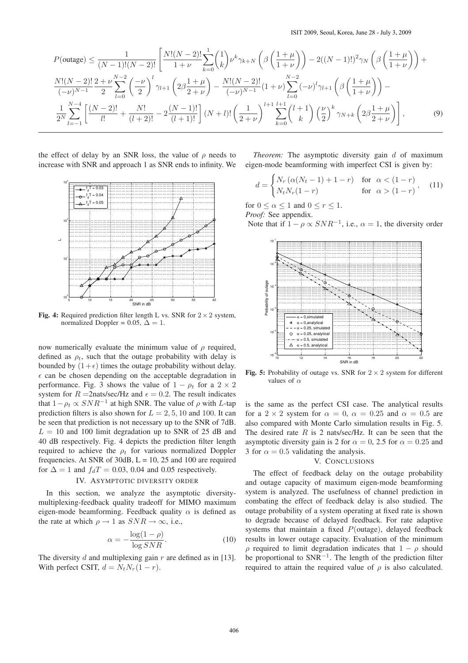$$
P(\text{outage}) \leq \frac{1}{(N-1)!(N-2)!} \left[ \frac{N!(N-2)!}{1+\nu} \sum_{k=0}^{1} {1 \choose k} \nu^k \gamma_{k+N} \left( \beta \left( \frac{1+\mu}{1+\nu} \right) \right) - 2((N-1)!)^2 \gamma_N \left( \beta \left( \frac{1+\mu}{1+\nu} \right) \right) + \frac{N!(N-2)!}{(-\nu)^{N-1}} \frac{2+\nu}{2} \sum_{l=0}^{N-2} \left( \frac{-\nu}{2} \right)^l \gamma_{l+1} \left( 2\beta \frac{1+\mu}{2+\nu} \right) - \frac{N!(N-2)!}{(-\nu)^{N-1}} (1+\nu) \sum_{l=0}^{N-2} (-\nu)^l \gamma_{l+1} \left( \beta \left( \frac{1+\mu}{1+\nu} \right) \right) - \frac{1}{2^N} \sum_{l=-1}^{N-4} \left[ \frac{(N-2)!}{l!} + \frac{N!}{(l+2)!} - 2 \frac{(N-1)!}{(l+1)!} \right] (N+l)! \left( \frac{1}{2+\nu} \right)^{l+1} \sum_{k=0}^{l+1} {l+1 \choose k} \left( \frac{\nu}{2} \right)^k \gamma_{N+k} \left( 2\beta \frac{1+\mu}{2+\nu} \right) \right],
$$
(9)

the effect of delay by an SNR loss, the value of  $\rho$  needs to increase with SNR and approach 1 as SNR ends to infinity. We



**Fig. 4:** Required prediction filter length L vs. SNR for  $2 \times 2$  system, normalized Doppler = 0.05,  $\Delta = 1$ .

now numerically evaluate the minimum value of  $\rho$  required, defined as  $\rho_t$ , such that the outage probability with delay is bounded by  $(1+\epsilon)$  times the outage probability without delay.  $\epsilon$  can be chosen depending on the acceptable degradation in performance. Fig. 3 shows the value of  $1 - \rho_t$  for a  $2 \times 2$ system for  $R = 2$ nats/sec/Hz and  $\epsilon = 0.2$ . The result indicates that  $1 - \rho_t \propto SNR^{-1}$  at high SNR. The value of  $\rho$  with L-tap prediction filters is also shown for  $L = 2, 5, 10$  and 100. It can be seen that prediction is not necessary up to the SNR of 7dB.  $L = 10$  and 100 limit degradation up to SNR of 25 dB and 40 dB respectively. Fig. 4 depicts the prediction filter length required to achieve the  $\rho_t$  for various normalized Doppler frequencies. At SNR of 30dB,  $L = 10$ , 25 and 100 are required for  $\Delta = 1$  and  $f_dT = 0.03$ , 0.04 and 0.05 respectively.

# IV. ASYMPTOTIC DIVERSITY ORDER

In this section, we analyze the asymptotic diversitymultiplexing-feedback quality tradeoff for MIMO maximum eigen-mode beamforming. Feedback quality  $\alpha$  is defined as the rate at which  $\rho \to 1$  as  $SNR \to \infty$ , i.e.,

$$
\alpha = -\frac{\log(1 - \rho)}{\log SNR}.\tag{10}
$$

The diversity  $d$  and multiplexing gain  $r$  are defined as in [13]. With perfect CSIT,  $d = N_t N_r (1 - r)$ .

*Theorem:* The asymptotic diversity gain d of maximum eigen-mode beamforming with imperfect CSI is given by:

$$
d = \begin{cases} N_r \left( \alpha (N_t - 1) + 1 - r \right) & \text{for } \alpha < (1 - r) \\ N_t N_r (1 - r) & \text{for } \alpha > (1 - r) \end{cases}, \tag{11}
$$

for  $0 \leq \alpha \leq 1$  and  $0 \leq r \leq 1$ .

*Proof:* See appendix.

Note that if  $1 - \rho \propto SNR^{-1}$ , i.e.,  $\alpha = 1$ , the diversity order



**Fig. 5:** Probability of outage vs. SNR for  $2 \times 2$  system for different values of  $\alpha$ 

is the same as the perfect CSI case. The analytical results for a 2  $\times$  2 system for  $\alpha = 0$ ,  $\alpha = 0.25$  and  $\alpha = 0.5$  are also compared with Monte Carlo simulation results in Fig. 5. The desired rate  $R$  is 2 nats/sec/Hz. It can be seen that the asymptotic diversity gain is 2 for  $\alpha = 0$ , 2.5 for  $\alpha = 0.25$  and 3 for  $\alpha = 0.5$  validating the analysis.

## V. CONCLUSIONS

The effect of feedback delay on the outage probability and outage capacity of maximum eigen-mode beamforming system is analyzed. The usefulness of channel prediction in combating the effect of feedback delay is also studied. The outage probability of a system operating at fixed rate is shown to degrade because of delayed feedback. For rate adaptive systems that maintain a fixed  $P$ (outage), delayed feedback results in lower outage capacity. Evaluation of the minimum ρ required to limit degradation indicates that 1 − ρ should be proportional to SNR<sup>-1</sup>. The length of the prediction filter required to attain the required value of  $\rho$  is also calculated.